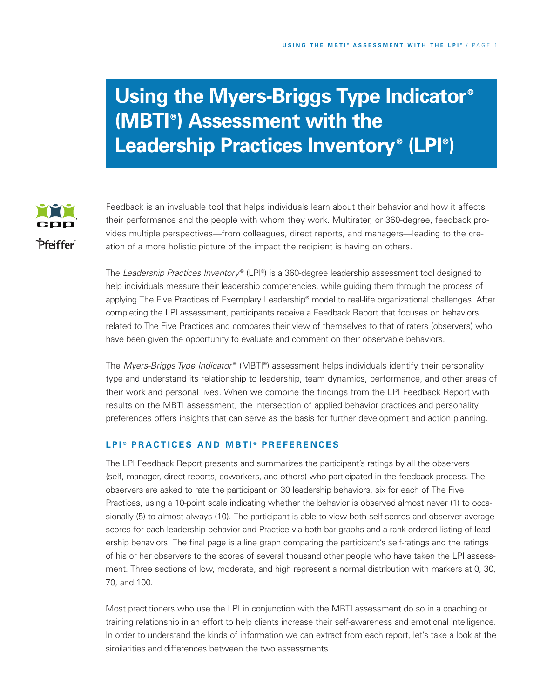# **Using the Myers-Briggs Type Indicator® (MBTI ® ) Assessment with the Leadership Practices Inventory® (LPI ® )**



Feedback is an invaluable tool that helps individuals learn about their behavior and how it affects their performance and the people with whom they work. Multirater, or 360-degree, feedback provides multiple perspectives—from colleagues, direct reports, and managers—leading to the creation of a more holistic picture of the impact the recipient is having on others.

The *Leadership Practices Inventory* ® (LPI ®) is a 360-degree leadership assessment tool designed to help individuals measure their leadership competencies, while guiding them through the process of applying The Five Practices of Exemplary Leadership® model to real-life organizational challenges. After completing the LPI assessment, participants receive a Feedback Report that focuses on behaviors related to The Five Practices and compares their view of themselves to that of raters (observers) who have been given the opportunity to evaluate and comment on their observable behaviors.

The *Myers-Briggs Type Indicator* ® (MBTI ®) assessment helps individuals identify their personality type and understand its relationship to leadership, team dynamics, performance, and other areas of their work and personal lives. When we combine the findings from the LPI Feedback Report with results on the MBTI assessment, the intersection of applied behavior practices and personality preferences offers insights that can serve as the basis for further development and action planning.

## LPI<sup>®</sup> PRACTICES AND MBTI<sup>®</sup> PREFERENCES

The LPI Feedback Report presents and summarizes the participant's ratings by all the observers (self, manager, direct reports, coworkers, and others) who participated in the feedback process. The observers are asked to rate the participant on 30 leadership behaviors, six for each of The Five Practices, using a 10-point scale indicating whether the behavior is observed almost never (1) to occasionally (5) to almost always (10). The participant is able to view both self-scores and observer average scores for each leadership behavior and Practice via both bar graphs and a rank-ordered listing of leadership behaviors. The final page is a line graph comparing the participant's self-ratings and the ratings of his or her observers to the scores of several thousand other people who have taken the LPI assessment. Three sections of low, moderate, and high represent a normal distribution with markers at 0, 30, 70, and 100.

Most practitioners who use the LPI in conjunction with the MBTI assessment do so in a coaching or training relationship in an effort to help clients increase their self-awareness and emotional intelligence. In order to understand the kinds of information we can extract from each report, let's take a look at the similarities and differences between the two assessments.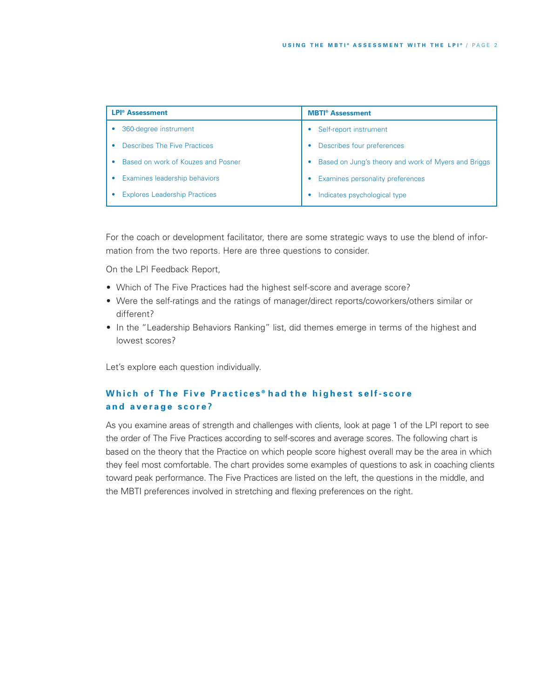| <b>LPI<sup>®</sup></b> Assessment    | <b>MBTI<sup>®</sup></b> Assessment                  |  |
|--------------------------------------|-----------------------------------------------------|--|
| 360-degree instrument                | Self-report instrument                              |  |
| Describes The Five Practices         | Describes four preferences                          |  |
| Based on work of Kouzes and Posner   | Based on Jung's theory and work of Myers and Briggs |  |
| Examines leadership behaviors        | Examines personality preferences                    |  |
| <b>Explores Leadership Practices</b> | Indicates psychological type                        |  |

For the coach or development facilitator, there are some strategic ways to use the blend of information from the two reports. Here are three questions to consider.

On the LPI Feedback Report,

- Which of The Five Practices had the highest self-score and average score?
- Were the self-ratings and the ratings of manager/direct reports/coworkers/others similar or different?
- In the "Leadership Behaviors Ranking" list, did themes emerge in terms of the highest and lowest scores?

Let's explore each question individually.

# Which of The Five Practices<sup>®</sup> had the highest self-score **a n d a v e r a g e s c o r e ?**

As you examine areas of strength and challenges with clients, look at page 1 of the LPI report to see the order of The Five Practices according to self-scores and average scores. The following chart is based on the theory that the Practice on which people score highest overall may be the area in which they feel most comfortable. The chart provides some examples of questions to ask in coaching clients toward peak performance. The Five Practices are listed on the left, the questions in the middle, and the MBTI preferences involved in stretching and flexing preferences on the right.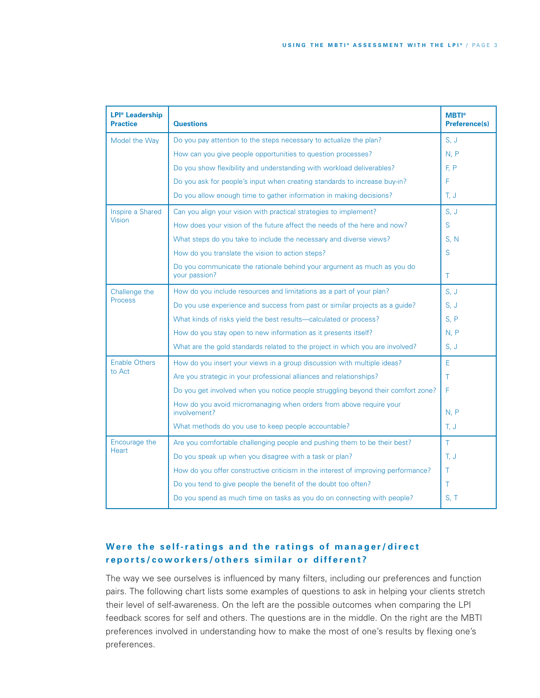| <b>LPI<sup>®</sup></b> Leadership<br><b>Practice</b> | <b>Questions</b>                                                                         | <b>MBTI</b> <sup>®</sup><br><b>Preference(s)</b> |
|------------------------------------------------------|------------------------------------------------------------------------------------------|--------------------------------------------------|
| Model the Way                                        | Do you pay attention to the steps necessary to actualize the plan?                       | S, J                                             |
|                                                      | How can you give people opportunities to question processes?                             | N, P                                             |
|                                                      | Do you show flexibility and understanding with workload deliverables?                    | F, P                                             |
|                                                      | Do you ask for people's input when creating standards to increase buy-in?                | F                                                |
|                                                      | Do you allow enough time to gather information in making decisions?                      | T, J                                             |
| Inspire a Shared                                     | Can you align your vision with practical strategies to implement?                        | S, J                                             |
| <b>Vision</b>                                        | How does your vision of the future affect the needs of the here and now?                 | S                                                |
|                                                      | What steps do you take to include the necessary and diverse views?                       | S, N                                             |
|                                                      | How do you translate the vision to action steps?                                         | S                                                |
|                                                      | Do you communicate the rationale behind your argument as much as you do<br>your passion? | T                                                |
| Challenge the                                        | How do you include resources and limitations as a part of your plan?                     | S, J                                             |
| <b>Process</b>                                       | Do you use experience and success from past or similar projects as a guide?              | S, J                                             |
|                                                      | What kinds of risks yield the best results-calculated or process?                        | S, P                                             |
|                                                      | How do you stay open to new information as it presents itself?                           | N. P                                             |
|                                                      | What are the gold standards related to the project in which you are involved?            | S, J                                             |
| <b>Enable Others</b>                                 | How do you insert your views in a group discussion with multiple ideas?                  | E                                                |
| to Act                                               | Are you strategic in your professional alliances and relationships?                      | Τ                                                |
|                                                      | Do you get involved when you notice people struggling beyond their comfort zone?         | F                                                |
|                                                      | How do you avoid micromanaging when orders from above require your<br>involvement?       | N, P                                             |
|                                                      | What methods do you use to keep people accountable?                                      | T, J                                             |
| Encourage the                                        | Are you comfortable challenging people and pushing them to be their best?                | T.                                               |
| <b>Heart</b>                                         | Do you speak up when you disagree with a task or plan?                                   | T, J                                             |
|                                                      | How do you offer constructive criticism in the interest of improving performance?        | T                                                |
|                                                      | Do you tend to give people the benefit of the doubt too often?                           | T                                                |
|                                                      | Do you spend as much time on tasks as you do on connecting with people?                  | S, T                                             |

## Were the self-ratings and the ratings of manager/direct reports/coworkers/others similar or different?

The way we see ourselves is influenced by many filters, including our preferences and function pairs. The following chart lists some examples of questions to ask in helping your clients stretch their level of self-awareness. On the left are the possible outcomes when comparing the LPI feedback scores for self and others. The questions are in the middle. On the right are the MBTI preferences involved in understanding how to make the most of one's results by flexing one's preferences.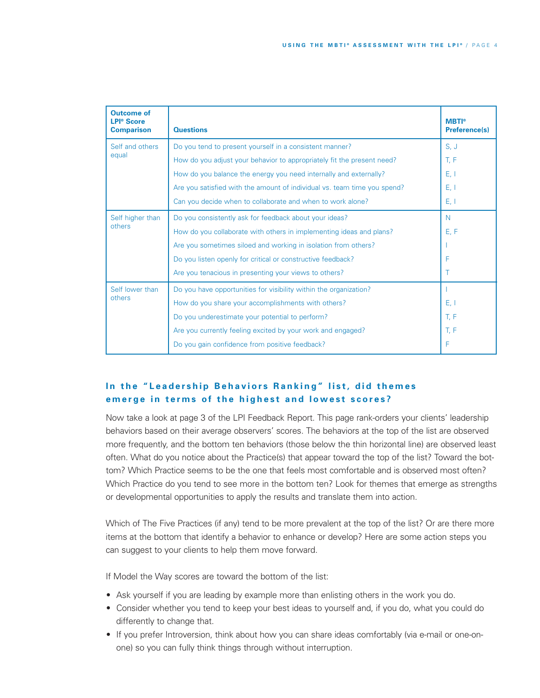| <b>Outcome of</b><br><b>LPI<sup>®</sup></b> Score<br><b>Comparison</b> | <b>Questions</b>                                                         | <b>MBTI®</b><br><b>Preference(s)</b> |
|------------------------------------------------------------------------|--------------------------------------------------------------------------|--------------------------------------|
| Self and others                                                        | Do you tend to present yourself in a consistent manner?                  | S, J                                 |
| equal                                                                  | How do you adjust your behavior to appropriately fit the present need?   | T, F                                 |
|                                                                        | How do you balance the energy you need internally and externally?        | E, I                                 |
|                                                                        | Are you satisfied with the amount of individual vs. team time you spend? | E, I                                 |
|                                                                        | Can you decide when to collaborate and when to work alone?               | E, I                                 |
| Self higher than<br>others                                             | Do you consistently ask for feedback about your ideas?                   | N                                    |
|                                                                        | How do you collaborate with others in implementing ideas and plans?      | E, F                                 |
|                                                                        | Are you sometimes siloed and working in isolation from others?           |                                      |
|                                                                        | Do you listen openly for critical or constructive feedback?              | F                                    |
|                                                                        | Are you tenacious in presenting your views to others?                    | т                                    |
| Self lower than<br>others                                              | Do you have opportunities for visibility within the organization?        |                                      |
|                                                                        | How do you share your accomplishments with others?                       | E, I                                 |
|                                                                        | Do you underestimate your potential to perform?                          | T, F                                 |
|                                                                        | Are you currently feeling excited by your work and engaged?              | T, F                                 |
|                                                                        | Do you gain confidence from positive feedback?                           | F                                    |

# In the "Leadership Behaviors Ranking" list, did themes emerge in terms of the highest and lowest scores?

Now take a look at page 3 of the LPI Feedback Report. This page rank-orders your clients' leadership behaviors based on their average observers' scores. The behaviors at the top of the list are observed more frequently, and the bottom ten behaviors (those below the thin horizontal line) are observed least often. What do you notice about the Practice(s) that appear toward the top of the list? Toward the bottom? Which Practice seems to be the one that feels most comfortable and is observed most often? Which Practice do you tend to see more in the bottom ten? Look for themes that emerge as strengths or developmental opportunities to apply the results and translate them into action.

Which of The Five Practices (if any) tend to be more prevalent at the top of the list? Or are there more items at the bottom that identify a behavior to enhance or develop? Here are some action steps you can suggest to your clients to help them move forward.

If Model the Way scores are toward the bottom of the list:

- Ask yourself if you are leading by example more than enlisting others in the work you do.
- Consider whether you tend to keep your best ideas to yourself and, if you do, what you could do differently to change that.
- If you prefer Introversion, think about how you can share ideas comfortably (via e-mail or one-onone) so you can fully think things through without interruption.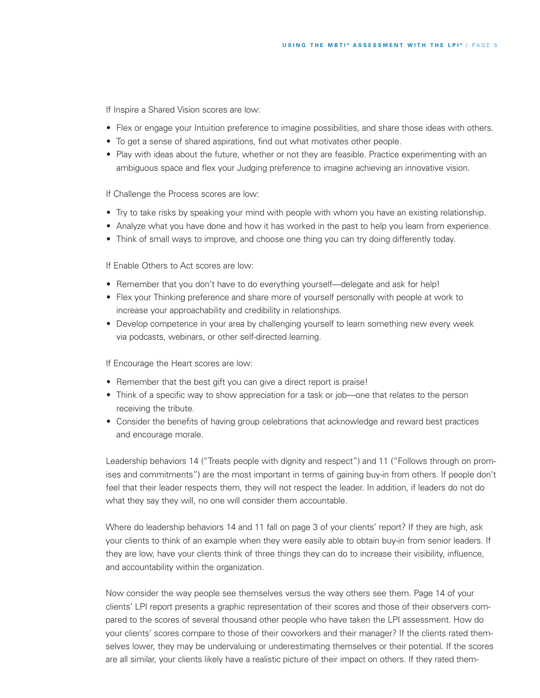If Inspire a Shared Vision scores are low:

- Flex or engage your Intuition preference to imagine possibilities, and share those ideas with others.
- To get a sense of shared aspirations, find out what motivates other people.
- Play with ideas about the future, whether or not they are feasible. Practice experimenting with an ambiguous space and flex your Judging preference to imagine achieving an innovative vision.

If Challenge the Process scores are low:

- Try to take risks by speaking your mind with people with whom you have an existing relationship.
- Analyze what you have done and how it has worked in the past to help you learn from experience.
- Think of small ways to improve, and choose one thing you can try doing differently today.

If Enable Others to Act scores are low:

- Remember that you don't have to do everything yourself—delegate and ask for help!
- Flex your Thinking preference and share more of yourself personally with people at work to increase your approachability and credibility in relationships.
- Develop competence in your area by challenging yourself to learn something new every week via podcasts, webinars, or other self-directed learning.

If Encourage the Heart scores are low:

- Remember that the best gift you can give a direct report is praise!
- Think of a specific way to show appreciation for a task or job—one that relates to the person receiving the tribute.
- Consider the benefits of having group celebrations that acknowledge and reward best practices and encourage morale.

Leadership behaviors 14 ("Treats people with dignity and respect") and 11 ("Follows through on promises and commitments") are the most important in terms of gaining buy-in from others. If people don't feel that their leader respects them, they will not respect the leader. In addition, if leaders do not do what they say they will, no one will consider them accountable.

Where do leadership behaviors 14 and 11 fall on page 3 of your clients' report? If they are high, ask your clients to think of an example when they were easily able to obtain buy-in from senior leaders. If they are low, have your clients think of three things they can do to increase their visibility, influence, and accountability within the organization.

Now consider the way people see themselves versus the way others see them. Page 14 of your clients' LPI report presents a graphic representation of their scores and those of their observers compared to the scores of several thousand other people who have taken the LPI assessment. How do your clients' scores compare to those of their coworkers and their manager? If the clients rated themselves lower, they may be undervaluing or underestimating themselves or their potential. If the scores are all similar, your clients likely have a realistic picture of their impact on others. If they rated them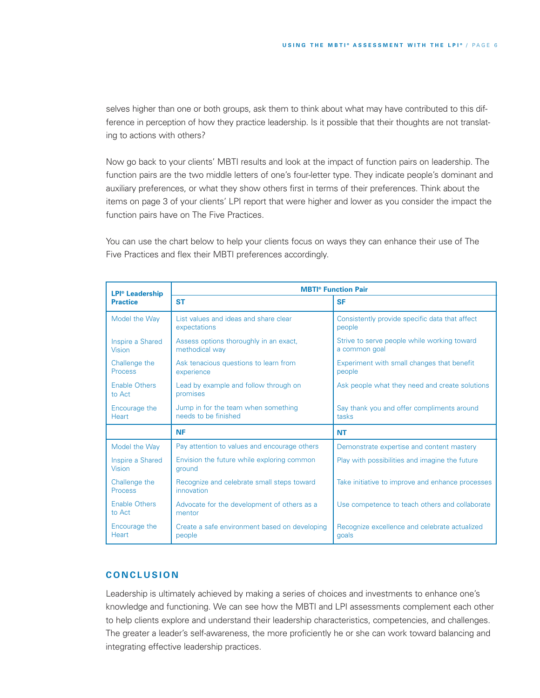selves higher than one or both groups, ask them to think about what may have contributed to this difference in perception of how they practice leadership. Is it possible that their thoughts are not translating to actions with others?

Now go back to your clients' MBTI results and look at the impact of function pairs on leadership. The function pairs are the two middle letters of one's four-letter type. They indicate people's dominant and auxiliary preferences, or what they show others first in terms of their preferences. Think about the items on page 3 of your clients' LPI report that were higher and lower as you consider the impact the function pairs have on The Five Practices.

You can use the chart below to help your clients focus on ways they can enhance their use of The Five Practices and flex their MBTI preferences accordingly.

| <b>LPI<sup>®</sup></b> Leadership | <b>MBTI<sup>®</sup></b> Function Pair                       |                                                              |  |
|-----------------------------------|-------------------------------------------------------------|--------------------------------------------------------------|--|
| <b>Practice</b>                   | <b>ST</b>                                                   | <b>SF</b>                                                    |  |
| Model the Way                     | List values and ideas and share clear<br>expectations       | Consistently provide specific data that affect<br>people     |  |
| Inspire a Shared<br><b>Vision</b> | Assess options thoroughly in an exact,<br>methodical way    | Strive to serve people while working toward<br>a common goal |  |
| Challenge the<br><b>Process</b>   | Ask tenacious questions to learn from<br>experience         | Experiment with small changes that benefit<br>people         |  |
| <b>Enable Others</b><br>to Act    | Lead by example and follow through on<br>promises           | Ask people what they need and create solutions               |  |
| Encourage the<br>Heart            | Jump in for the team when something<br>needs to be finished | Say thank you and offer compliments around<br>tasks          |  |
|                                   | <b>NF</b>                                                   | <b>NT</b>                                                    |  |
| Model the Way                     | Pay attention to values and encourage others                | Demonstrate expertise and content mastery                    |  |
| Inspire a Shared<br>Vision        | Envision the future while exploring common<br>ground        | Play with possibilities and imagine the future               |  |
| Challenge the<br><b>Process</b>   | Recognize and celebrate small steps toward<br>innovation    | Take initiative to improve and enhance processes             |  |
| <b>Enable Others</b><br>to Act    | Advocate for the development of others as a<br>mentor       | Use competence to teach others and collaborate               |  |
| Encourage the<br><b>Heart</b>     | Create a safe environment based on developing<br>people     | Recognize excellence and celebrate actualized<br>qoals       |  |

### **C O N C L U S I O N**

Leadership is ultimately achieved by making a series of choices and investments to enhance one's knowledge and functioning. We can see how the MBTI and LPI assessments complement each other to help clients explore and understand their leadership characteristics, competencies, and challenges. The greater a leader's self-awareness, the more proficiently he or she can work toward balancing and integrating effective leadership practices.